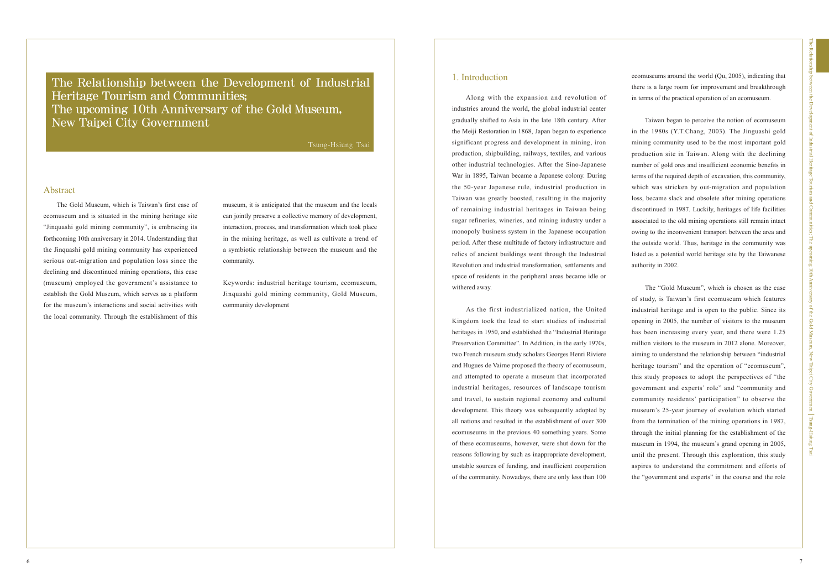The Gold Museum, which is Taiwan's first case of ecomuseum and is situated in the mining heritage site "Jinquashi gold mining community", is embracing its forthcoming 10th anniversary in 2014. Understanding that the Jinquashi gold mining community has experienced serious out-migration and population loss since the declining and discontinued mining operations, this case (museum) employed the government's assistance to establish the Gold Museum, which serves as a platform for the museum's interactions and social activities with the local community. Through the establishment of this

# Abstract

The Relationship between the Development of Industrial Heritage Tourism and Communities; The upcoming 10th Anniversary of the Gold Museum, New Taipei City Government

> museum, it is anticipated that the museum and the locals can jointly preserve a collective memory of development, interaction, process, and transformation which took place in the mining heritage, as well as cultivate a trend of a symbiotic relationship between the museum and the community.

> Keywords: industrial heritage tourism, ecomuseum, Jinquashi gold mining community, Gold Museum, community development

Tsung-Hsiung Tsai

# 1. Introduction

Along with the expansion and revolution of industries around the world, the global industrial center gradually shifted to Asia in the late 18th century. After the Meiji Restoration in 1868, Japan began to experience significant progress and development in mining, iron production, shipbuilding, railways, textiles, and various other industrial technologies. After the Sino-Japanese War in 1895, Taiwan became a Japanese colony. During the 50-year Japanese rule, industrial production in Taiwan was greatly boosted, resulting in the majority of remaining industrial heritages in Taiwan being sugar refineries, wineries, and mining industry under a monopoly business system in the Japanese occupation period. After these multitude of factory infrastructure and relics of ancient buildings went through the Industrial Revolution and industrial transformation, settlements and space of residents in the peripheral areas became idle or withered away.

 As the first industrialized nation, the United Kingdom took the lead to start studies of industrial heritages in 1950, and established the "Industrial Heritage Preservation Committee". In Addition, in the early 1970s, two French museum study scholars Georges Henri Riviere and Hugues de Vairne proposed the theory of ecomuseum, and attempted to operate a museum that incorporated industrial heritages, resources of landscape tourism and travel, to sustain regional economy and cultural development. This theory was subsequently adopted by all nations and resulted in the establishment of over 300 ecomuseums in the previous 40 something years. Some of these ecomuseums, however, were shut down for the reasons following by such as inappropriate development, unstable sources of funding, and insufficient cooperation of the community. Nowadays, there are only less than 100

ecomuseums around the world (Qu, 2005), indicating that there is a large room for improvement and breakthrough in terms of the practical operation of an ecomuseum.

 Taiwan began to perceive the notion of ecomuseum in the 1980s (Y.T.Chang, 2003). The Jinguashi gold mining community used to be the most important gold production site in Taiwan. Along with the declining number of gold ores and insufficient economic benefits in terms of the required depth of excavation, this community, which was stricken by out-migration and population loss, became slack and obsolete after mining operations discontinued in 1987. Luckily, heritages of life facilities associated to the old mining operations still remain intact owing to the inconvenient transport between the area and the outside world. Thus, heritage in the community was listed as a potential world heritage site by the Taiwanese authority in 2002.

 The "Gold Museum", which is chosen as the case of study, is Taiwan's first ecomuseum which features industrial heritage and is open to the public. Since its opening in 2005, the number of visitors to the museum has been increasing every year, and there were 1.25 million visitors to the museum in 2012 alone. Moreover, aiming to understand the relationship between "industrial heritage tourism" and the operation of "ecomuseum", this study proposes to adopt the perspectives of "the government and experts' role" and "community and community residents' participation" to observe the museum's 25-year journey of evolution which started from the termination of the mining operations in 1987, through the initial planning for the establishment of the museum in 1994, the museum's grand opening in 2005, until the present. Through this exploration, this study aspires to understand the commitment and efforts of the "government and experts" in the course and the role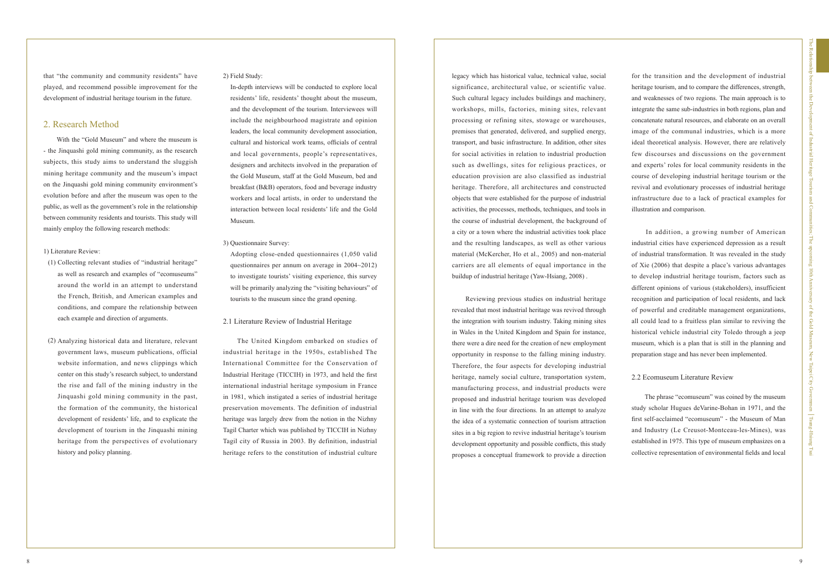that "the community and community residents" have played, and recommend possible improvement for the development of industrial heritage tourism in the future.

# 2. Research Method

 With the "Gold Museum" and where the museum is - the Jinquashi gold mining community, as the research subjects, this study aims to understand the sluggish mining heritage community and the museum's impact on the Jinquashi gold mining community environment's evolution before and after the museum was open to the public, as well as the government's role in the relationship between community residents and tourists. This study will mainly employ the following research methods:

## 1) Literature Review:

#### 2) Field Study:

In-depth interviews will be conducted to explore local residents' life, residents' thought about the museum, and the development of the tourism. Interviewees will include the neighbourhood magistrate and opinion leaders, the local community development association, cultural and historical work teams, officials of central and local governments, people's representatives, designers and architects involved in the preparation of the Gold Museum, staff at the Gold Museum, bed and breakfast (B&B) operators, food and beverage industry workers and local artists, in order to understand the interaction between local residents' life and the Gold Museum.

#### 3) Questionnaire Survey:

Adopting close-ended questionnaires (1,050 valid questionnaires per annum on average in 2004~2012) to investigate tourists' visiting experience, this survey will be primarily analyzing the "visiting behaviours" of tourists to the museum since the grand opening.

#### 2.1 Literature Review of Industrial Heritage

- (1) Collecting relevant studies of "industrial heritage" as well as research and examples of "ecomuseums" around the world in an attempt to understand the French, British, and American examples and conditions, and compare the relationship between each example and direction of arguments.
- (2) Analyzing historical data and literature, relevant government laws, museum publications, official website information, and news clippings which center on this study's research subject, to understand the rise and fall of the mining industry in the Jinquashi gold mining community in the past, the formation of the community, the historical development of residents' life, and to explicate the development of tourism in the Jinquashi mining heritage from the perspectives of evolutionary history and policy planning.

 The United Kingdom embarked on studies of industrial heritage in the 1950s, established The International Committee for the Conservation of Industrial Heritage (TICCIH) in 1973, and held the first international industrial heritage symposium in France in 1981, which instigated a series of industrial heritage preservation movements. The definition of industrial heritage was largely drew from the notion in the Nizhny Tagil Charter which was published by TICCIH in Nizhny Tagil city of Russia in 2003. By definition, industrial heritage refers to the constitution of industrial culture

legacy which has historical value, technical value, social significance, architectural value, or scientific value. Such cultural legacy includes buildings and machinery, workshops, mills, factories, mining sites, relevant processing or refining sites, stowage or warehouses, premises that generated, delivered, and supplied energy, transport, and basic infrastructure. In addition, other sites for social activities in relation to industrial production such as dwellings, sites for religious practices, or education provision are also classified as industrial heritage. Therefore, all architectures and constructed objects that were established for the purpose of industrial activities, the processes, methods, techniques, and tools in the course of industrial development, the background of a city or a town where the industrial activities took place and the resulting landscapes, as well as other various material (McKercher, Ho et al., 2005) and non-material carriers are all elements of equal importance in the buildup of industrial heritage (Yaw-Hsiang, 2008) .

 Reviewing previous studies on industrial heritage revealed that most industrial heritage was revived through the integration with tourism industry. Taking mining sites in Wales in the United Kingdom and Spain for instance, there were a dire need for the creation of new employment opportunity in response to the falling mining industry. Therefore, the four aspects for developing industrial heritage, namely social culture, transportation system, manufacturing process, and industrial products were proposed and industrial heritage tourism was developed in line with the four directions. In an attempt to analyze the idea of a systematic connection of tourism attraction sites in a big region to revive industrial heritage's tourism development opportunity and possible conflicts, this study proposes a conceptual framework to provide a direction

for the transition and the development of industrial heritage tourism, and to compare the differences, strength, and weaknesses of two regions. The main approach is to integrate the same sub-industries in both regions, plan and concatenate natural resources, and elaborate on an overall image of the communal industries, which is a more ideal theoretical analysis. However, there are relatively few discourses and discussions on the government and experts' roles for local community residents in the course of developing industrial heritage tourism or the revival and evolutionary processes of industrial heritage infrastructure due to a lack of practical examples for illustration and comparison.

 In addition, a growing number of American industrial cities have experienced depression as a result of industrial transformation. It was revealed in the study of Xie (2006) that despite a place's various advantages to develop industrial heritage tourism, factors such as different opinions of various (stakeholders), insufficient recognition and participation of local residents, and lack of powerful and creditable management organizations, all could lead to a fruitless plan similar to reviving the historical vehicle industrial city Toledo through a jeep museum, which is a plan that is still in the planning and preparation stage and has never been implemented.

#### 2.2 Ecomuseum Literature Review

 The phrase "ecomuseum" was coined by the museum study scholar Hugues deVarine-Bohan in 1971, and the first self-acclaimed "ecomuseum" - the Museum of Man and Industry (Le Creusot-Montceau-les-Mines), was established in 1975. This type of museum emphasizes on a collective representation of environmental fields and local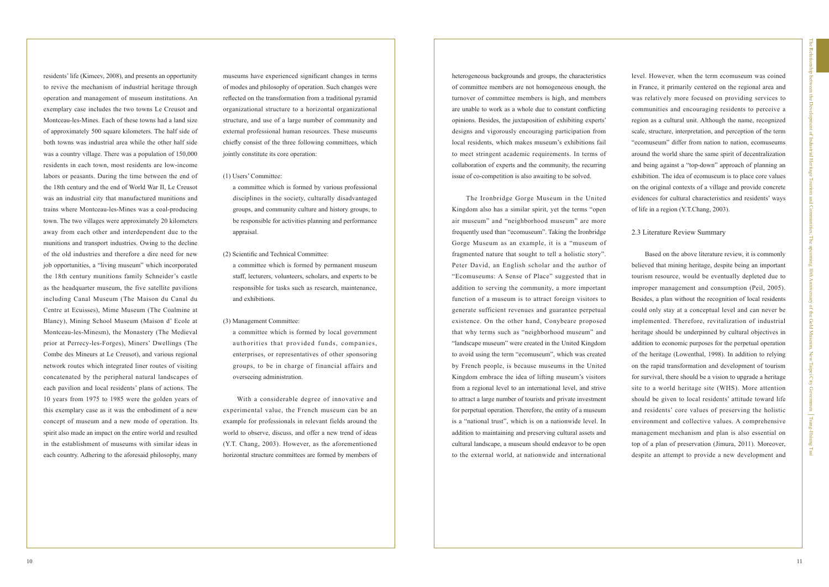residents' life (Kimeev, 2008), and presents an opportunity to revive the mechanism of industrial heritage through operation and management of museum institutions. An exemplary case includes the two towns Le Creusot and Montceau-les-Mines. Each of these towns had a land size of approximately 500 square kilometers. The half side of both towns was industrial area while the other half side was a country village. There was a population of 150,000 residents in each town, most residents are low-income labors or peasants. During the time between the end of the 18th century and the end of World War II, Le Creusot was an industrial city that manufactured munitions and trains where Montceau-les-Mines was a coal-producing town. The two villages were approximately 20 kilometers away from each other and interdependent due to the munitions and transport industries. Owing to the decline of the old industries and therefore a dire need for new job opportunities, a "living museum" which incorporated the 18th century munitions family Schneider's castle as the headquarter museum, the five satellite pavilions including Canal Museum (The Maison du Canal du Centre at Ecuisses), Mime Museum (The Coalmine at Blancy), Mining School Museum (Maison d' Ecole at Montceau-les-Minesm), the Monastery (The Medieval prior at Perrecy-les-Forges), Miners' Dwellings (The Combe des Mineurs at Le Creusot), and various regional network routes which integrated liner routes of visiting concatenated by the peripheral natural landscapes of each pavilion and local residents' plans of actions. The 10 years from 1975 to 1985 were the golden years of this exemplary case as it was the embodiment of a new concept of museum and a new mode of operation. Its spirit also made an impact on the entire world and resulted in the establishment of museums with similar ideas in each country. Adhering to the aforesaid philosophy, many

museums have experienced significant changes in terms of modes and philosophy of operation. Such changes were reflected on the transformation from a traditional pyramid organizational structure to a horizontal organizational structure, and use of a large number of community and external professional human resources. These museums chiefly consist of the three following committees, which jointly constitute its core operation:

(1) Users' Committee:

a committee which is formed by various professional disciplines in the society, culturally disadvantaged groups, and community culture and history groups, to be responsible for activities planning and performance appraisal.

#### (2) Scientific and Technical Committee:

a committee which is formed by permanent museum staff, lecturers, volunteers, scholars, and experts to be responsible for tasks such as research, maintenance, and exhibitions.

#### (3) Management Committee:

a committee which is formed by local government authorities that provided funds, companies, enterprises, or representatives of other sponsoring groups, to be in charge of financial affairs and overseeing administration.

 With a considerable degree of innovative and experimental value, the French museum can be an example for professionals in relevant fields around the world to observe, discuss, and offer a new trend of ideas (Y.T. Chang, 2003). However, as the aforementioned horizontal structure committees are formed by members of heterogeneous backgrounds and groups, the characteristics of committee members are not homogeneous enough, the turnover of committee members is high, and members are unable to work as a whole due to constant conflicting opinions. Besides, the juxtaposition of exhibiting experts' designs and vigorously encouraging participation from local residents, which makes museum's exhibitions fail to meet stringent academic requirements. In terms of collaboration of experts and the community, the recurring issue of co-competition is also awaiting to be solved.

 The Ironbridge Gorge Museum in the United Kingdom also has a similar spirit, yet the terms "open air museum" and "neighborhood museum" are more frequently used than "ecomuseum". Taking the Ironbridge Gorge Museum as an example, it is a "museum of fragmented nature that sought to tell a holistic story". Peter David, an English scholar and the author of "Ecomuseums: A Sense of Place" suggested that in addition to serving the community, a more important function of a museum is to attract foreign visitors to generate sufficient revenues and guarantee perpetual existence. On the other hand, Conybeare proposed that why terms such as "neighborhood museum" and "landscape museum" were created in the United Kingdom to avoid using the term "ecomuseum", which was created by French people, is because museums in the United Kingdom embrace the idea of lifting museum's visitors from a regional level to an international level, and strive to attract a large number of tourists and private investment for perpetual operation. Therefore, the entity of a museum is a "national trust", which is on a nationwide level. In addition to maintaining and preserving cultural assets and cultural landscape, a museum should endeavor to be open to the external world, at nationwide and international

level. However, when the term ecomuseum was coined in France, it primarily centered on the regional area and was relatively more focused on providing services to communities and encouraging residents to perceive a region as a cultural unit. Although the name, recognized scale, structure, interpretation, and perception of the term "ecomuseum" differ from nation to nation, ecomuseums around the world share the same spirit of decentralization and being against a "top-down" approach of planning an exhibition. The idea of ecomuseum is to place core values on the original contexts of a village and provide concrete evidences for cultural characteristics and residents' ways of life in a region (Y.T.Chang, 2003).

## 2.3 Literature Review Summary

 Based on the above literature review, it is commonly believed that mining heritage, despite being an important tourism resource, would be eventually depleted due to improper management and consumption (Peil, 2005). Besides, a plan without the recognition of local residents could only stay at a conceptual level and can never be implemented. Therefore, revitalization of industrial heritage should be underpinned by cultural objectives in addition to economic purposes for the perpetual operation of the heritage (Lowenthal, 1998). In addition to relying on the rapid transformation and development of tourism for survival, there should be a vision to upgrade a heritage site to a world heritage site (WHS). More attention should be given to local residents' attitude toward life and residents' core values of preserving the holistic environment and collective values. A comprehensive management mechanism and plan is also essential on top of a plan of preservation (Jimura, 2011). Moreover, despite an attempt to provide a new development and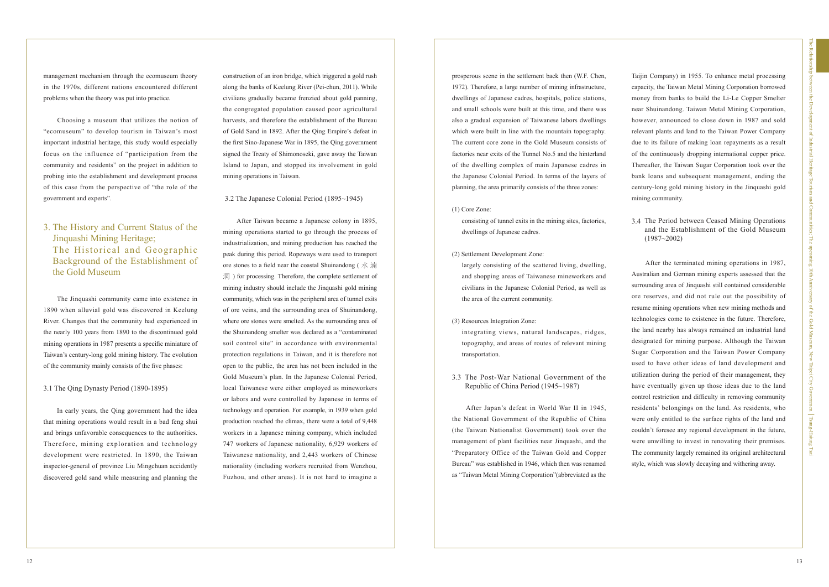The Jinquashi community came into existence in 1890 when alluvial gold was discovered in Keelung River. Changes that the community had experienced in the nearly 100 years from 1890 to the discontinued gold mining operations in 1987 presents a specific miniature of Taiwan's century-long gold mining history. The evolution of the community mainly consists of the five phases:

## 3.1 The Qing Dynasty Period (1890-1895)

 In early years, the Qing government had the idea that mining operations would result in a bad feng shui and brings unfavorable consequences to the authorities. Therefore, mining exploration and technology development were restricted. In 1890, the Taiwan inspector-general of province Liu Mingchuan accidently discovered gold sand while measuring and planning the

management mechanism through the ecomuseum theory in the 1970s, different nations encountered different problems when the theory was put into practice.

 Choosing a museum that utilizes the notion of "ecomuseum" to develop tourism in Taiwan's most important industrial heritage, this study would especially focus on the influence of "participation from the community and residents" on the project in addition to probing into the establishment and development process of this case from the perspective of "the role of the government and experts".

3. The History and Current Status of the Jinquashi Mining Heritage; The Historical and Geographic Background of the Establishment of the Gold Museum

Taijin Company) in 1955. To enhance metal processing capacity, the Taiwan Metal Mining Corporation borrowed money from banks to build the Li-Le Copper Smelter near Shuinandong. Taiwan Metal Mining Corporation, however, announced to close down in 1987 and sold relevant plants and land to the Taiwan Power Company due to its failure of making loan repayments as a result of the continuously dropping international copper price. Thereafter, the Taiwan Sugar Corporation took over the bank loans and subsequent management, ending the century-long gold mining history in the Jinquashi gold mining community.

prosperous scene in the settlement back then (W.F. Chen, 1972). Therefore, a large number of mining infrastructure, dwellings of Japanese cadres, hospitals, police stations, and small schools were built at this time, and there was also a gradual expansion of Taiwanese labors dwellings which were built in line with the mountain topography. The current core zone in the Gold Museum consists of factories near exits of the Tunnel No.5 and the hinterland of the dwelling complex of main Japanese cadres in the Japanese Colonial Period. In terms of the layers of planning, the area primarily consists of the three zones:

#### (1) Core Zone:

consisting of tunnel exits in the mining sites, factories, dwellings of Japanese cadres.

#### (2) Settlement Development Zone:

largely consisting of the scattered living, dwelling, and shopping areas of Taiwanese mineworkers and civilians in the Japanese Colonial Period, as well as the area of the current community.

## (3) Resources Integration Zone:

integrating views, natural landscapes, ridges, topography, and areas of routes of relevant mining transportation.

 After Japan's defeat in World War II in 1945, the National Government of the Republic of China (the Taiwan Nationalist Government) took over the management of plant facilities near Jinquashi, and the "Preparatory Office of the Taiwan Gold and Copper Bureau" was established in 1946, which then was renamed as "Taiwan Metal Mining Corporation"(abbreviated as the

3.3 The Post-War National Government of the Republic of China Period (1945~1987)

 After the terminated mining operations in 1987, Australian and German mining experts assessed that the surrounding area of Jinquashi still contained considerable ore reserves, and did not rule out the possibility of resume mining operations when new mining methods and technologies come to existence in the future. Therefore, the land nearby has always remained an industrial land designated for mining purpose. Although the Taiwan Sugar Corporation and the Taiwan Power Company used to have other ideas of land development and utilization during the period of their management, they have eventually given up those ideas due to the land control restriction and difficulty in removing community residents' belongings on the land. As residents, who were only entitled to the surface rights of the land and couldn't foresee any regional development in the future, were unwilling to invest in renovating their premises. The community largely remained its original architectural style, which was slowly decaying and withering away.

construction of an iron bridge, which triggered a gold rush along the banks of Keelung River (Pei-chun, 2011). While civilians gradually became frenzied about gold panning, the congregated population caused poor agricultural harvests, and therefore the establishment of the Bureau of Gold Sand in 1892. After the Qing Empire's defeat in the first Sino-Japanese War in 1895, the Qing government signed the Treaty of Shimonoseki, gave away the Taiwan Island to Japan, and stopped its involvement in gold mining operations in Taiwan.

# 3.4 The Period between Ceased Mining Operations and the Establishment of the Gold Museum (1987~2002)

#### 3.2 The Japanese Colonial Period (1895~1945)

 After Taiwan became a Japanese colony in 1895, mining operations started to go through the process of industrialization, and mining production has reached the peak during this period. Ropeways were used to transport ore stones to a field near the coastal Shuinandong ( 水 湳 洞 ) for processing. Therefore, the complete settlement of mining industry should include the Jinquashi gold mining community, which was in the peripheral area of tunnel exits of ore veins, and the surrounding area of Shuinandong, where ore stones were smelted. As the surrounding area of the Shuinandong smelter was declared as a "contaminated soil control site" in accordance with environmental protection regulations in Taiwan, and it is therefore not open to the public, the area has not been included in the Gold Museum's plan. In the Japanese Colonial Period, local Taiwanese were either employed as mineworkers or labors and were controlled by Japanese in terms of technology and operation. For example, in 1939 when gold production reached the climax, there were a total of 9,448 workers in a Japanese mining company, which included 747 workers of Japanese nationality, 6,929 workers of Taiwanese nationality, and 2,443 workers of Chinese nationality (including workers recruited from Wenzhou, Fuzhou, and other areas). It is not hard to imagine a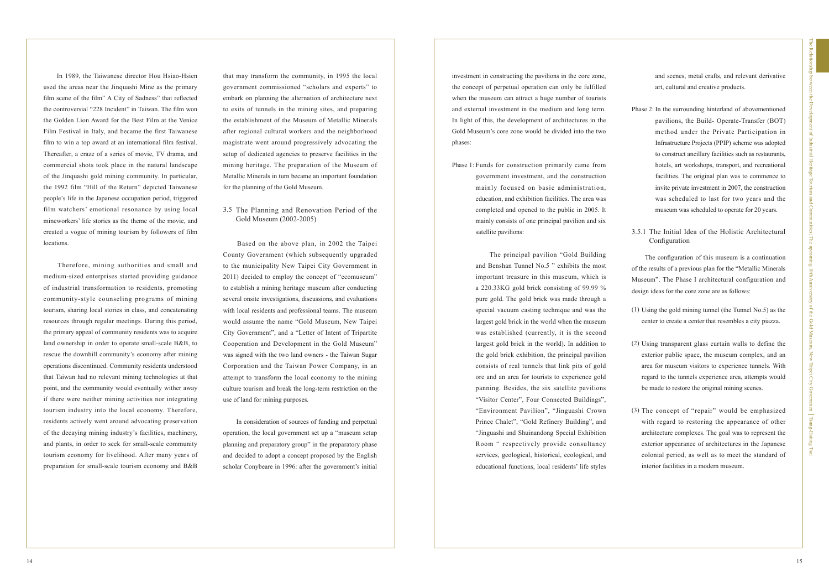In 1989, the Taiwanese director Hou Hsiao-Hsien used the areas near the Jinquashi Mine as the primary film scene of the film" A City of Sadness" that reflected the controversial "228 Incident" in Taiwan. The film won the Golden Lion Award for the Best Film at the Venice Film Festival in Italy, and became the first Taiwanese film to win a top award at an international film festival. Thereafter, a craze of a series of movie, TV drama, and commercial shots took place in the natural landscape of the Jinquashi gold mining community. In particular, the 1992 film "Hill of the Return" depicted Taiwanese people's life in the Japanese occupation period, triggered film watchers' emotional resonance by using local mineworkers' life stories as the theme of the movie, and created a vogue of mining tourism by followers of film locations.

 Therefore, mining authorities and small and medium-sized enterprises started providing guidance of industrial transformation to residents, promoting community-style counseling programs of mining tourism, sharing local stories in class, and concatenating resources through regular meetings. During this period, the primary appeal of community residents was to acquire land ownership in order to operate small-scale B&B, to rescue the downhill community's economy after mining operations discontinued. Community residents understood that Taiwan had no relevant mining technologies at that point, and the community would eventually wither away if there were neither mining activities nor integrating tourism industry into the local economy. Therefore, residents actively went around advocating preservation of the decaying mining industry's facilities, machinery, and plants, in order to seek for small-scale community tourism economy for livelihood. After many years of preparation for small-scale tourism economy and B&B

that may transform the community, in 1995 the local government commissioned "scholars and experts" to embark on planning the alternation of architecture next to exits of tunnels in the mining sites, and preparing the establishment of the Museum of Metallic Minerals after regional cultural workers and the neighborhood magistrate went around progressively advocating the setup of dedicated agencies to preserve facilities in the mining heritage. The preparation of the Museum of Metallic Minerals in turn became an important foundation for the planning of the Gold Museum.

 Based on the above plan, in 2002 the Taipei County Government (which subsequently upgraded to the municipality New Taipei City Government in 2011) decided to employ the concept of "ecomuseum" to establish a mining heritage museum after conducting several onsite investigations, discussions, and evaluations with local residents and professional teams. The museum would assume the name "Gold Museum, New Taipei City Government", and a "Letter of Intent of Tripartite Cooperation and Development in the Gold Museum" was signed with the two land owners - the Taiwan Sugar Corporation and the Taiwan Power Company, in an attempt to transform the local economy to the mining culture tourism and break the long-term restriction on the use of land for mining purposes.

 In consideration of sources of funding and perpetual operation, the local government set up a "museum setup planning and preparatory group" in the preparatory phase and decided to adopt a concept proposed by the English scholar Conybeare in 1996: after the government's initial

investment in constructing the pavilions in the core zone, the concept of perpetual operation can only be fulfilled when the museum can attract a huge number of tourists and external investment in the medium and long term. In light of this, the development of architectures in the Gold Museum's core zone would be divided into the two phases:

> The configuration of this museum is a continuation of the results of a previous plan for the "Metallic Minerals Museum". The Phase I architectural configuration and design ideas for the core zone are as follows:

Phase 1: Funds for construction primarily came from government investment, and the construction mainly focused on basic administration, education, and exhibition facilities. The area was completed and opened to the public in 2005. It mainly consists of one principal pavilion and six satellite pavilions:

## 3.5 The Planning and Renovation Period of the Gold Museum (2002-2005)

 The principal pavilion "Gold Building and Benshan Tunnel No.5 " exhibits the most important treasure in this museum, which is a 220.33KG gold brick consisting of 99.99 % pure gold. The gold brick was made through a special vacuum casting technique and was the largest gold brick in the world when the museum was established (currently, it is the second largest gold brick in the world). In addition to the gold brick exhibition, the principal pavilion consists of real tunnels that link pits of gold ore and an area for tourists to experience gold panning. Besides, the six satellite pavilions "Visitor Center", Four Connected Buildings", "Environment Pavilion", "Jinguashi Crown Prince Chalet", "Gold Refinery Building", and "Jinguashi and Shuinandong Special Exhibition Room " respectively provide consultancy services, geological, historical, ecological, and educational functions, local residents' life styles

- Phase 2: In the surrounding hinterland of abovementioned pavilions, the Build- Operate-Transfer (BOT) method under the Private Participation in Infrastructure Projects (PPIP) scheme was adopted to construct ancillary facilities such as restaurants, hotels, art workshops, transport, and recreational facilities. The original plan was to commence to invite private investment in 2007, the construction was scheduled to last for two years and the museum was scheduled to operate for 20 years.
- 3.5.1 The Initial Idea of the Holistic Architectural Configuration

- (1) Using the gold mining tunnel (the Tunnel No.5) as the center to create a center that resembles a city piazza.
- (2) Using transparent glass curtain walls to define the exterior public space, the museum complex, and an area for museum visitors to experience tunnels. With regard to the tunnels experience area, attempts would be made to restore the original mining scenes.
- (3) The concept of "repair" would be emphasized with regard to restoring the appearance of other architecture complexes. The goal was to represent the exterior appearance of architectures in the Japanese colonial period, as well as to meet the standard of interior facilities in a modern museum.

and scenes, metal crafts, and relevant derivative art, cultural and creative products.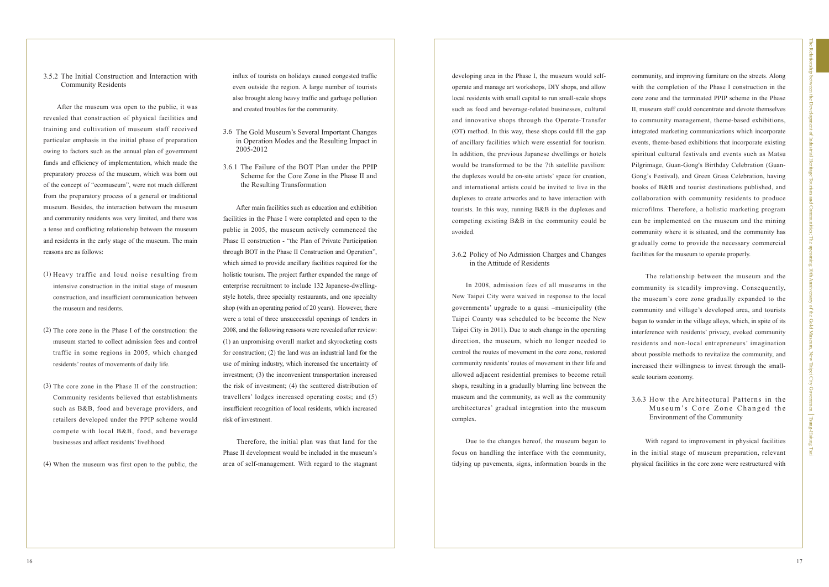After the museum was open to the public, it was revealed that construction of physical facilities and training and cultivation of museum staff received particular emphasis in the initial phase of preparation owing to factors such as the annual plan of government funds and efficiency of implementation, which made the preparatory process of the museum, which was born out of the concept of "ecomuseum", were not much different from the preparatory process of a general or traditional museum. Besides, the interaction between the museum and community residents was very limited, and there was a tense and conflicting relationship between the museum and residents in the early stage of the museum. The main reasons are as follows:

### 3.5.2 The Initial Construction and Interaction with Community Residents

 After main facilities such as education and exhibition facilities in the Phase I were completed and open to the public in 2005, the museum actively commenced the Phase II construction - "the Plan of Private Participation through BOT in the Phase II Construction and Operation", which aimed to provide ancillary facilities required for the holistic tourism. The project further expanded the range of enterprise recruitment to include 132 Japanese-dwellingstyle hotels, three specialty restaurants, and one specialty shop (with an operating period of 20 years). However, there were a total of three unsuccessful openings of tenders in 2008, and the following reasons were revealed after review: (1) an unpromising overall market and skyrocketing costs for construction; (2) the land was an industrial land for the use of mining industry, which increased the uncertainty of investment; (3) the inconvenient transportation increased the risk of investment; (4) the scattered distribution of travellers' lodges increased operating costs; and (5) insufficient recognition of local residents, which increased risk of investment.

- (1) Heavy traffic and loud noise resulting from intensive construction in the initial stage of museum construction, and insufficient communication between the museum and residents.
- (2) The core zone in the Phase I of the construction: the museum started to collect admission fees and control traffic in some regions in 2005, which changed residents' routes of movements of daily life.
- (3) The core zone in the Phase II of the construction: Community residents believed that establishments such as B&B, food and beverage providers, and retailers developed under the PPIP scheme would compete with local B&B, food, and beverage businesses and affect residents' livelihood.

(4) When the museum was first open to the public, the

- 3.6 The Gold Museum's Several Important Changes in Operation Modes and the Resulting Impact in 2005-2012
- 3.6.1 The Failure of the BOT Plan under the PPIP Scheme for the Core Zone in the Phase II and the Resulting Transformation

 Therefore, the initial plan was that land for the Phase II development would be included in the museum's area of self-management. With regard to the stagnant

developing area in the Phase I, the museum would selfoperate and manage art workshops, DIY shops, and allow local residents with small capital to run small-scale shops such as food and beverage-related businesses, cultural and innovative shops through the Operate-Transfer (OT) method. In this way, these shops could fill the gap of ancillary facilities which were essential for tourism. In addition, the previous Japanese dwellings or hotels would be transformed to be the 7th satellite pavilion: the duplexes would be on-site artists' space for creation, and international artists could be invited to live in the duplexes to create artworks and to have interaction with tourists. In this way, running B&B in the duplexes and competing existing B&B in the community could be avoided.

 In 2008, admission fees of all museums in the New Taipei City were waived in response to the local governments' upgrade to a quasi –municipality (the Taipei County was scheduled to be become the New Taipei City in 2011). Due to such change in the operating direction, the museum, which no longer needed to control the routes of movement in the core zone, restored community residents' routes of movement in their life and allowed adjacent residential premises to become retail shops, resulting in a gradually blurring line between the museum and the community, as well as the community architectures' gradual integration into the museum complex.

 Due to the changes hereof, the museum began to focus on handling the interface with the community, tidying up pavements, signs, information boards in the

## 3.6.2 Policy of No Admission Charges and Changes in the Attitude of Residents

community, and improving furniture on the streets. Along with the completion of the Phase I construction in the core zone and the terminated PPIP scheme in the Phase II, museum staff could concentrate and devote themselves to community management, theme-based exhibitions, integrated marketing communications which incorporate events, theme-based exhibitions that incorporate existing spiritual cultural festivals and events such as Matsu Pilgrimage, Guan-Gong's Birthday Celebration (Guan-Gong's Festival), and Green Grass Celebration, having books of B&B and tourist destinations published, and collaboration with community residents to produce microfilms. Therefore, a holistic marketing program can be implemented on the museum and the mining community where it is situated, and the community has gradually come to provide the necessary commercial facilities for the museum to operate properly.

 The relationship between the museum and the community is steadily improving. Consequently, the museum's core zone gradually expanded to the community and village's developed area, and tourists began to wander in the village alleys, which, in spite of its interference with residents' privacy, evoked community residents and non-local entrepreneurs' imagination about possible methods to revitalize the community, and increased their willingness to invest through the smallscale tourism economy.

 With regard to improvement in physical facilities in the initial stage of museum preparation, relevant physical facilities in the core zone were restructured with

# 3.6.3 How the Architectural Patterns in the Museum's Core Zone Changed the Environment of the Community

influx of tourists on holidays caused congested traffic even outside the region. A large number of tourists also brought along heavy traffic and garbage pollution and created troubles for the community.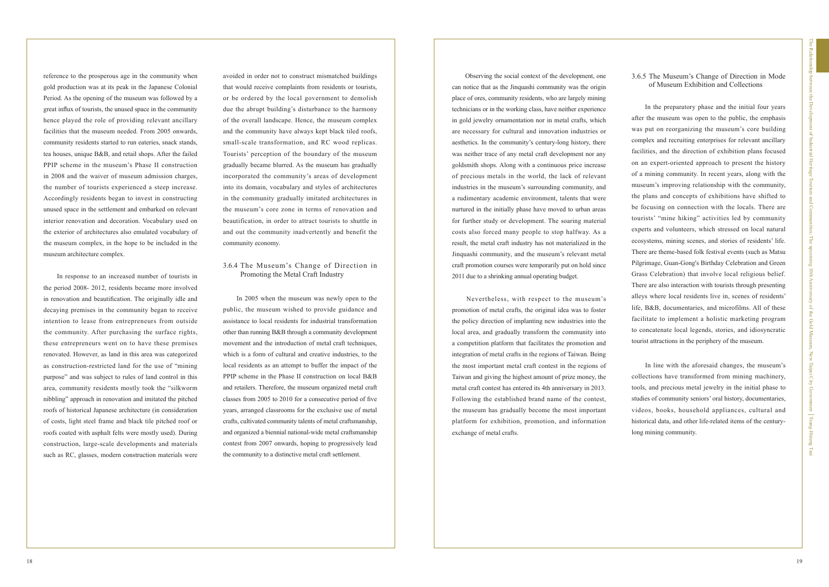reference to the prosperous age in the community when gold production was at its peak in the Japanese Colonial Period. As the opening of the museum was followed by a great influx of tourists, the unused space in the community hence played the role of providing relevant ancillary facilities that the museum needed. From 2005 onwards, community residents started to run eateries, snack stands, tea houses, unique B&B, and retail shops. After the failed PPIP scheme in the museum's Phase II construction in 2008 and the waiver of museum admission charges, the number of tourists experienced a steep increase. Accordingly residents began to invest in constructing unused space in the settlement and embarked on relevant interior renovation and decoration. Vocabulary used on the exterior of architectures also emulated vocabulary of the museum complex, in the hope to be included in the museum architecture complex.

 In response to an increased number of tourists in the period 2008- 2012, residents became more involved in renovation and beautification. The originally idle and decaying premises in the community began to receive intention to lease from entrepreneurs from outside the community. After purchasing the surface rights, these entrepreneurs went on to have these premises renovated. However, as land in this area was categorized as construction-restricted land for the use of "mining purpose" and was subject to rules of land control in this area, community residents mostly took the "silkworm nibbling" approach in renovation and imitated the pitched roofs of historical Japanese architecture (in consideration of costs, light steel frame and black tile pitched roof or roofs coated with asphalt felts were mostly used). During construction, large-scale developments and materials such as RC, glasses, modern construction materials were avoided in order not to construct mismatched buildings that would receive complaints from residents or tourists, or be ordered by the local government to demolish due the abrupt building's disturbance to the harmony of the overall landscape. Hence, the museum complex and the community have always kept black tiled roofs, small-scale transformation, and RC wood replicas. Tourists' perception of the boundary of the museum gradually became blurred. As the museum has gradually incorporated the community's areas of development into its domain, vocabulary and styles of architectures in the community gradually imitated architectures in the museum's core zone in terms of renovation and beautification, in order to attract tourists to shuttle in and out the community inadvertently and benefit the community economy.

 In 2005 when the museum was newly open to the public, the museum wished to provide guidance and assistance to local residents for industrial transformation other than running B&B through a community development movement and the introduction of metal craft techniques, which is a form of cultural and creative industries, to the local residents as an attempt to buffer the impact of the PPIP scheme in the Phase II construction on local B&B and retailers. Therefore, the museum organized metal craft classes from 2005 to 2010 for a consecutive period of five years, arranged classrooms for the exclusive use of metal crafts, cultivated community talents of metal craftsmanship, and organized a biennial national-wide metal craftsmanship contest from 2007 onwards, hoping to progressively lead the community to a distinctive metal craft settlement.

 Observing the social context of the development, one can notice that as the Jinquashi community was the origin place of ores, community residents, who are largely mining technicians or in the working class, have neither experience in gold jewelry ornamentation nor in metal crafts, which are necessary for cultural and innovation industries or aesthetics. In the community's century-long history, there was neither trace of any metal craft development nor any goldsmith shops. Along with a continuous price increase of precious metals in the world, the lack of relevant industries in the museum's surrounding community, and a rudimentary academic environment, talents that were nurtured in the initially phase have moved to urban areas for further study or development. The soaring material costs also forced many people to stop halfway. As a result, the metal craft industry has not materialized in the Jinquashi community, and the museum's relevant metal craft promotion courses were temporarily put on hold since 2011 due to a shrinking annual operating budget.

## 3.6.4 The Museum's Change of Direction in Promoting the Metal Craft Industry

 Nevertheless, with respect to the museum's promotion of metal crafts, the original idea was to foster the policy direction of implanting new industries into the local area, and gradually transform the community into a competition platform that facilitates the promotion and integration of metal crafts in the regions of Taiwan. Being the most important metal craft contest in the regions of Taiwan and giving the highest amount of prize money, the metal craft contest has entered its 4th anniversary in 2013. Following the established brand name of the contest, the museum has gradually become the most important platform for exhibition, promotion, and information exchange of metal crafts.

 In the preparatory phase and the initial four years after the museum was open to the public, the emphasis was put on reorganizing the museum's core building complex and recruiting enterprises for relevant ancillary facilities, and the direction of exhibition plans focused on an expert-oriented approach to present the history of a mining community. In recent years, along with the museum's improving relationship with the community, the plans and concepts of exhibitions have shifted to be focusing on connection with the locals. There are tourists' "mine hiking" activities led by community experts and volunteers, which stressed on local natural ecosystems, mining scenes, and stories of residents' life. There are theme-based folk festival events (such as Matsu Pilgrimage, Guan-Gong's Birthday Celebration and Green Grass Celebration) that involve local religious belief. There are also interaction with tourists through presenting alleys where local residents live in, scenes of residents' life, B&B, documentaries, and microfilms. All of these facilitate to implement a holistic marketing program to concatenate local legends, stories, and idiosyncratic tourist attractions in the periphery of the museum.

# 3.6.5 The Museum's Change of Direction in Mode of Museum Exhibition and Collections

 In line with the aforesaid changes, the museum's collections have transformed from mining machinery, tools, and precious metal jewelry in the initial phase to studies of community seniors' oral history, documentaries, videos, books, household appliances, cultural and historical data, and other life-related items of the centurylong mining community.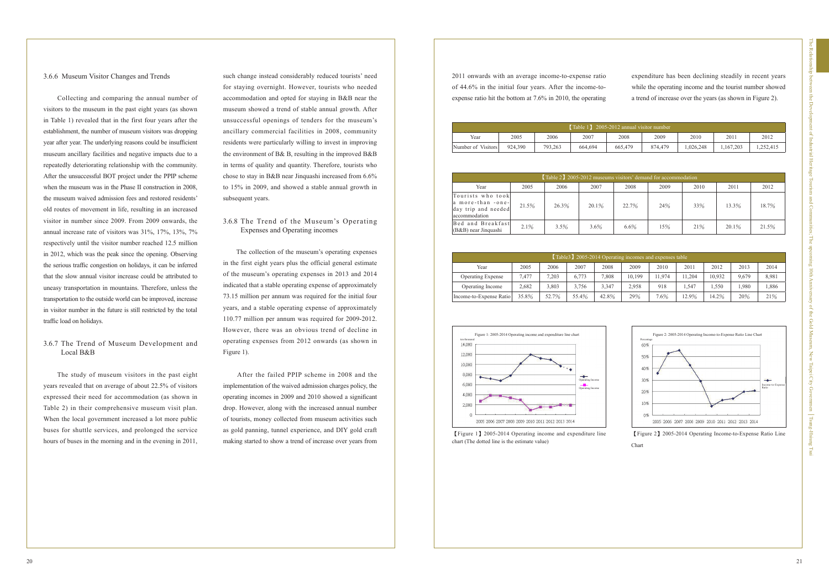### 3.6.6 Museum Visitor Changes and Trends

 Collecting and comparing the annual number of visitors to the museum in the past eight years (as shown in Table 1) revealed that in the first four years after the establishment, the number of museum visitors was dropping year after year. The underlying reasons could be insufficient museum ancillary facilities and negative impacts due to a repeatedly deteriorating relationship with the community. After the unsuccessful BOT project under the PPIP scheme when the museum was in the Phase II construction in 2008, the museum waived admission fees and restored residents' old routes of movement in life, resulting in an increased visitor in number since 2009. From 2009 onwards, the annual increase rate of visitors was 31%, 17%, 13%, 7% respectively until the visitor number reached 12.5 million in 2012, which was the peak since the opening. Observing the serious traffic congestion on holidays, it can be inferred that the slow annual visitor increase could be attributed to uneasy transportation in mountains. Therefore, unless the transportation to the outside world can be improved, increase in visitor number in the future is still restricted by the total traffic load on holidays.

 The study of museum visitors in the past eight years revealed that on average of about 22.5% of visitors expressed their need for accommodation (as shown in Table 2) in their comprehensive museum visit plan. When the local government increased a lot more public buses for shuttle services, and prolonged the service hours of buses in the morning and in the evening in 2011,

such change instead considerably reduced tourists' need for staying overnight. However, tourists who needed accommodation and opted for staying in B&B near the museum showed a trend of stable annual growth. After unsuccessful openings of tenders for the museum's ancillary commercial facilities in 2008, community residents were particularly willing to invest in improving the environment of B& B, resulting in the improved B&B in terms of quality and quantity. Therefore, tourists who chose to stay in B&B near Jinquashi increased from 6.6% to 15% in 2009, and showed a stable annual growth in subsequent years.

#### 3.6.7 The Trend of Museum Development and Local B&B

 The collection of the museum's operating expenses in the first eight years plus the official general estimate of the museum's operating expenses in 2013 and 2014 indicated that a stable operating expense of approximately 73.15 million per annum was required for the initial four years, and a stable operating expense of approximately 110.77 million per annum was required for 2009-2012. However, there was an obvious trend of decline in operating expenses from 2012 onwards (as shown in Figure 1).

 After the failed PPIP scheme in 2008 and the implementation of the waived admission charges policy, the operating incomes in 2009 and 2010 showed a significant drop. However, along with the increased annual number of tourists, money collected from museum activities such as gold panning, tunnel experience, and DIY gold craft making started to show a trend of increase over years from

## 3.6.8 The Trend of the Museum's Operating Expenses and Operating incomes

| Table 1 2005-2012 annual visitor number |         |         |         |         |         |              |          |           |  |
|-----------------------------------------|---------|---------|---------|---------|---------|--------------|----------|-----------|--|
| Year                                    | 2005    | 2006    | 2007    | 2008    | 2009    | 2010<br>2011 |          | 2012      |  |
| Number of Visitors                      | 924.390 | 793.263 | 664.694 | 665,479 | 874.479 | 1.026.248    | .167.203 | 1.252.415 |  |

| <b>Table 2 2005-2012</b> museums visitors' demand for accommodation            |         |       |          |         |      |      |       |       |  |  |
|--------------------------------------------------------------------------------|---------|-------|----------|---------|------|------|-------|-------|--|--|
| Year                                                                           | 2005    | 2006  | 2007     | 2008    | 2009 | 2010 | 2011  | 2012  |  |  |
| Tourists who took<br>a more-than -one-<br>day trip and needed<br>accommodation | 21.5%   | 26.3% | $20.1\%$ | 22.7%   | 24%  | 33%  | 13.3% | 18.7% |  |  |
| Bed and Breakfast<br>(B&B) near Jinguashi                                      | $2.1\%$ | 3.5%  | $3.6\%$  | $6.6\%$ | 15%  | 21%  | 20.1% | 21.5% |  |  |

| [Table3] 2005-2014 Operating incomes and expenses table |       |       |       |       |        |       |        |        |       |       |
|---------------------------------------------------------|-------|-------|-------|-------|--------|-------|--------|--------|-------|-------|
| Year                                                    | 2005  | 2006  | 2007  | 2008  | 2009   | 2010  | 2011   | 2012   | 2013  | 2014  |
| <b>Operating Expense</b>                                | 7.477 | 7.203 | 6.773 | 7.808 | 10.199 | 1.974 | 11.204 | 10.932 | 9.679 | 8,981 |
| Operating Income                                        | 2.682 | 3,803 | 3.756 | 3.347 | 2.958  | 918   | .547   | 1.550  | 1.980 | .886  |
| Income-to-Expense Ratio                                 | 35.8% | 52.7% | 55.4% | 42.8% | 29%    | 7.6%  | 12.9%  | 14.2%  | 20%   | 21%   |

【Figure 2】2005-2014 Operating Income-to-Expense Ratio Line Chart



【Figure 1】2005-2014 Operating income and expenditure line chart (The dotted line is the estimate value)

2011 onwards with an average income-to-expense ratio of 44.6% in the initial four years. After the income-toexpense ratio hit the bottom at 7.6% in 2010, the operating

expenditure has been declining steadily in recent years while the operating income and the tourist number showed a trend of increase over the years (as shown in Figure 2).

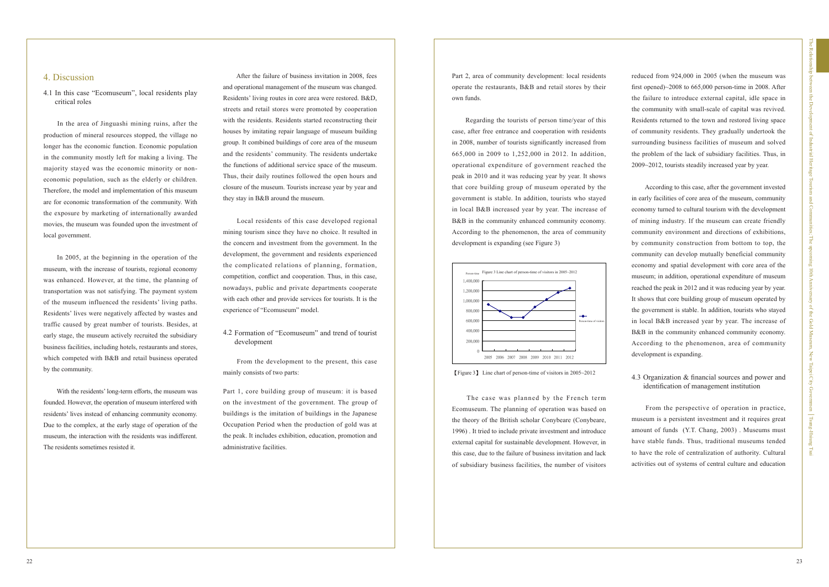In the area of Jinguashi mining ruins, after the production of mineral resources stopped, the village no longer has the economic function. Economic population in the community mostly left for making a living. The majority stayed was the economic minority or noneconomic population, such as the elderly or children. Therefore, the model and implementation of this museum are for economic transformation of the community. With the exposure by marketing of internationally awarded movies, the museum was founded upon the investment of local government.

 In 2005, at the beginning in the operation of the museum, with the increase of tourists, regional economy was enhanced. However, at the time, the planning of transportation was not satisfying. The payment system of the museum influenced the residents' living paths. Residents' lives were negatively affected by wastes and traffic caused by great number of tourists. Besides, at early stage, the museum actively recruited the subsidiary business facilities, including hotels, restaurants and stores, which competed with B&B and retail business operated by the community.

4. Discussion **After the failure of business invitation in 2008**, fees and operational management of the museum was changed. Residents' living routes in core area were restored. B&D, streets and retail stores were promoted by cooperation with the residents. Residents started reconstructing their houses by imitating repair language of museum building group. It combined buildings of core area of the museum and the residents' community. The residents undertake the functions of additional service space of the museum. Thus, their daily routines followed the open hours and closure of the museum. Tourists increase year by year and they stay in B&B around the museum.

 With the residents' long-term efforts, the museum was founded. However, the operation of museum interfered with residents' lives instead of enhancing community economy. Due to the complex, at the early stage of operation of the museum, the interaction with the residents was indifferent. The residents sometimes resisted it.

4.1 In this case "Ecomuseum", local residents play critical roles

> Local residents of this case developed regional mining tourism since they have no choice. It resulted in the concern and investment from the government. In the development, the government and residents experienced the complicated relations of planning, formation, competition, conflict and cooperation. Thus, in this case, nowadays, public and private departments cooperate with each other and provide services for tourists. It is the experience of "Ecomuseum" model.

> From the development to the present, this case mainly consists of two parts:

> Part 1, core building group of museum: it is based on the investment of the government. The group of buildings is the imitation of buildings in the Japanese Occupation Period when the production of gold was at the peak. It includes exhibition, education, promotion and administrative facilities.

## 4.2 Formation of "Ecomuseum" and trend of tourist development

Part 2, area of community development: local residents operate the restaurants, B&B and retail stores by their own funds.

 Regarding the tourists of person time/year of this case, after free entrance and cooperation with residents in 2008, number of tourists significantly increased from 665,000 in 2009 to 1,252,000 in 2012. In addition, operational expenditure of government reached the peak in 2010 and it was reducing year by year. It shows that core building group of museum operated by the government is stable. In addition, tourists who stayed in local B&B increased year by year. The increase of B&B in the community enhanced community economy. According to the phenomenon, the area of community development is expanding (see Figure 3)

reduced from 924,000 in 2005 (when the museum was first opened)~2008 to 665,000 person-time in 2008. After the failure to introduce external capital, idle space in the community with small-scale of capital was revived. Residents returned to the town and restored living space of community residents. They gradually undertook the surrounding business facilities of museum and solved the problem of the lack of subsidiary facilities. Thus, in 2009~2012, tourists steadily increased year by year.



【Figure 3】 Line chart of person-time of visitors in 2005~2012

 According to this case, after the government invested in early facilities of core area of the museum, community economy turned to cultural tourism with the development of mining industry. If the museum can create friendly community environment and directions of exhibitions, by community construction from bottom to top, the community can develop mutually beneficial community economy and spatial development with core area of the museum; in addition, operational expenditure of museum reached the peak in 2012 and it was reducing year by year. It shows that core building group of museum operated by the government is stable. In addition, tourists who stayed in local B&B increased year by year. The increase of B&B in the community enhanced community economy. According to the phenomenon, area of community development is expanding.

 From the perspective of operation in practice, museum is a persistent investment and it requires great amount of funds (Y.T. Chang, 2003) . Museums must have stable funds. Thus, traditional museums tended to have the role of centralization of authority. Cultural activities out of systems of central culture and education

## 4.3 Organization & financial sources and power and identification of management institution

 The case was planned by the French term Ecomuseum. The planning of operation was based on the theory of the British scholar Conybeare (Conybeare, 1996) . It tried to include private investment and introduce external capital for sustainable development. However, in this case, due to the failure of business invitation and lack of subsidiary business facilities, the number of visitors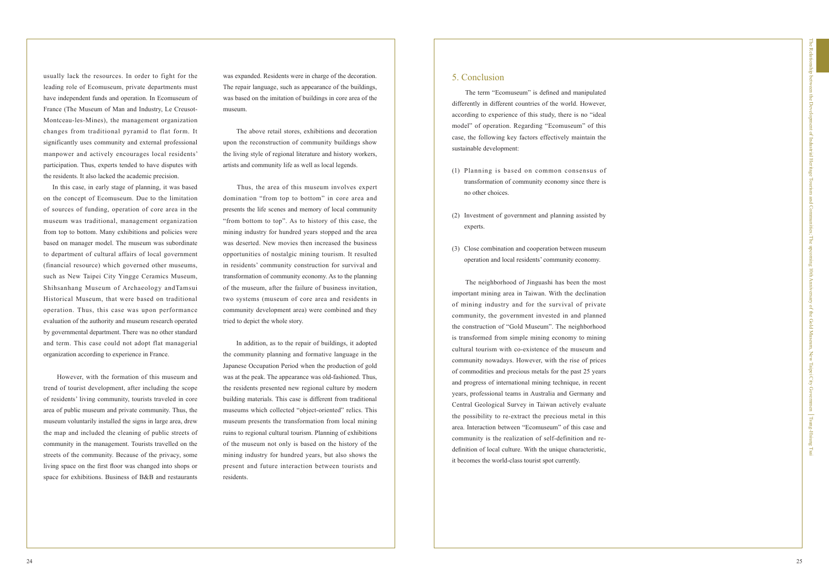usually lack the resources. In order to fight for the leading role of Ecomuseum, private departments must have independent funds and operation. In Ecomuseum of France (The Museum of Man and Industry, Le Creusot-Montceau-les-Mines), the management organization changes from traditional pyramid to flat form. It significantly uses community and external professional manpower and actively encourages local residents' participation. Thus, experts tended to have disputes with the residents. It also lacked the academic precision.

 However, with the formation of this museum and trend of tourist development, after including the scope of residents' living community, tourists traveled in core area of public museum and private community. Thus, the museum voluntarily installed the signs in large area, drew the map and included the cleaning of public streets of community in the management. Tourists travelled on the streets of the community. Because of the privacy, some living space on the first floor was changed into shops or space for exhibitions. Business of B&B and restaurants

 In this case, in early stage of planning, it was based on the concept of Ecomuseum. Due to the limitation of sources of funding, operation of core area in the museum was traditional, management organization from top to bottom. Many exhibitions and policies were based on manager model. The museum was subordinate to department of cultural affairs of local government (financial resource) which governed other museums, such as New Taipei City Yingge Ceramics Museum, Shihsanhang Museum of Archaeology andTamsui Historical Museum, that were based on traditional operation. Thus, this case was upon performance evaluation of the authority and museum research operated by governmental department. There was no other standard and term. This case could not adopt flat managerial organization according to experience in France.

was expanded. Residents were in charge of the decoration. The repair language, such as appearance of the buildings, was based on the imitation of buildings in core area of the museum.

 The above retail stores, exhibitions and decoration upon the reconstruction of community buildings show the living style of regional literature and history workers, artists and community life as well as local legends.

 Thus, the area of this museum involves expert domination "from top to bottom" in core area and presents the life scenes and memory of local community "from bottom to top". As to history of this case, the mining industry for hundred years stopped and the area was deserted. New movies then increased the business opportunities of nostalgic mining tourism. It resulted in residents' community construction for survival and transformation of community economy. As to the planning of the museum, after the failure of business invitation, two systems (museum of core area and residents in community development area) were combined and they tried to depict the whole story.

 In addition, as to the repair of buildings, it adopted the community planning and formative language in the Japanese Occupation Period when the production of gold was at the peak. The appearance was old-fashioned. Thus, the residents presented new regional culture by modern building materials. This case is different from traditional museums which collected "object-oriented" relics. This museum presents the transformation from local mining ruins to regional cultural tourism. Planning of exhibitions of the museum not only is based on the history of the mining industry for hundred years, but also shows the present and future interaction between tourists and residents.

 The term "Ecomuseum" is defined and manipulated differently in different countries of the world. However, according to experience of this study, there is no "ideal model" of operation. Regarding "Ecomuseum" of this case, the following key factors effectively maintain the sustainable development:

 The neighborhood of Jinguashi has been the most important mining area in Taiwan. With the declination of mining industry and for the survival of private community, the government invested in and planned the construction of "Gold Museum". The neighborhood is transformed from simple mining economy to mining cultural tourism with co-existence of the museum and community nowadays. However, with the rise of prices of commodities and precious metals for the past 25 years and progress of international mining technique, in recent years, professional teams in Australia and Germany and Central Geological Survey in Taiwan actively evaluate the possibility to re-extract the precious metal in this area. Interaction between "Ecomuseum" of this case and community is the realization of self-definition and redefinition of local culture. With the unique characteristic, it becomes the world-class tourist spot currently.

- (1) Planning is based on common consensus of transformation of community economy since there is no other choices.
- (2) Investment of government and planning assisted by experts.
- (3) Close combination and cooperation between museum operation and local residents' community economy.

# 5. Conclusion